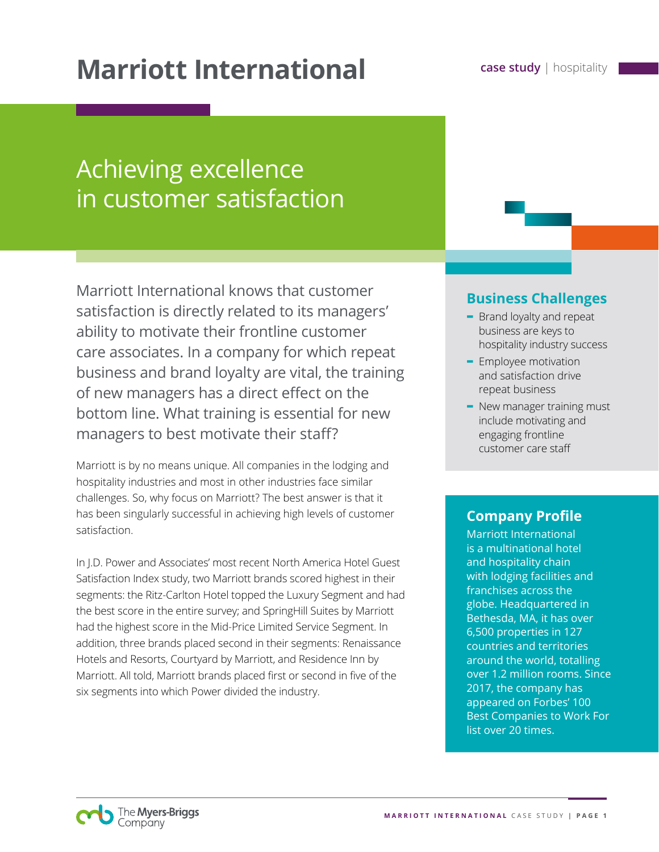# **Marriott International Case study** | hospitality

# Achieving excellence in customer satisfaction

Marriott International knows that customer satisfaction is directly related to its managers' ability to motivate their frontline customer care associates. In a company for which repeat business and brand loyalty are vital, the training of new managers has a direct effect on the bottom line. What training is essential for new managers to best motivate their staff?

Marriott is by no means unique. All companies in the lodging and hospitality industries and most in other industries face similar challenges. So, why focus on Marriott? The best answer is that it has been singularly successful in achieving high levels of customer satisfaction.

In J.D. Power and Associates' most recent North America Hotel Guest Satisfaction Index study, two Marriott brands scored highest in their segments: the Ritz-Carlton Hotel topped the Luxury Segment and had the best score in the entire survey; and SpringHill Suites by Marriott had the highest score in the Mid-Price Limited Service Segment. In addition, three brands placed second in their segments: Renaissance Hotels and Resorts, Courtyard by Marriott, and Residence Inn by Marriott. All told, Marriott brands placed first or second in five of the six segments into which Power divided the industry.

### **Business Challenges**

- **-** Brand loyalty and repeat business are keys to hospitality industry success
- **-** Employee motivation and satisfaction drive repeat business
- **-** New manager training must include motivating and engaging frontline customer care staff

### **Company Profile**

Marriott International is a multinational hotel and hospitality chain with lodging facilities and franchises across the globe. Headquartered in Bethesda, MA, it has over 6,500 properties in 127 countries and territories around the world, totalling over 1.2 million rooms. Since 2017, the company has appeared on Forbes' 100 Best Companies to Work For list over 20 times.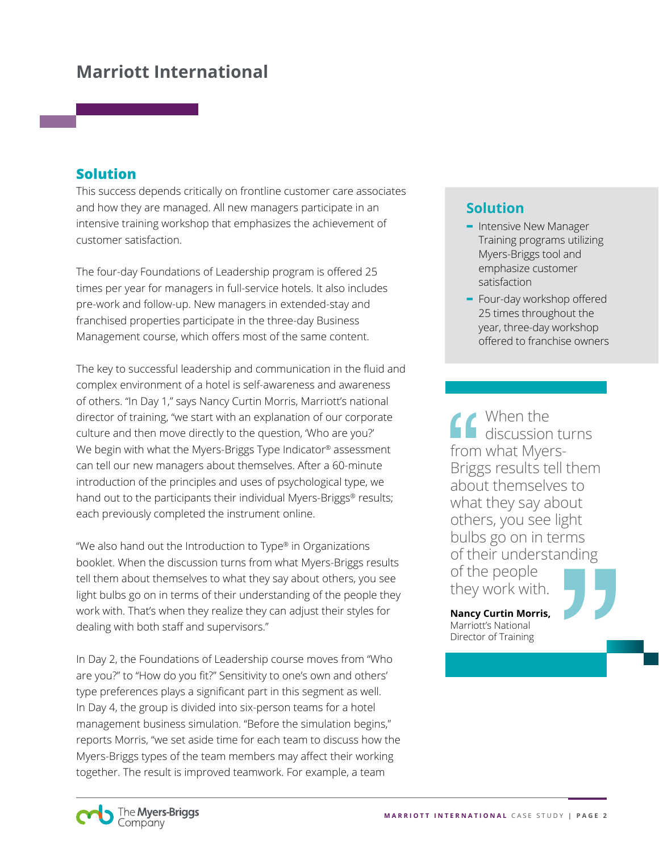## **Marriott International**

#### **Solution**

This success depends critically on frontline customer care associates and how they are managed. All new managers participate in an intensive training workshop that emphasizes the achievement of customer satisfaction.

The four-day Foundations of Leadership program is offered 25 times per year for managers in full-service hotels. It also includes pre-work and follow-up. New managers in extended-stay and franchised properties participate in the three-day Business Management course, which offers most of the same content.

The key to successful leadership and communication in the fluid and complex environment of a hotel is self-awareness and awareness of others. "In Day 1," says Nancy Curtin Morris, Marriott's national director of training, "we start with an explanation of our corporate culture and then move directly to the question, 'Who are you?' We begin with what the Myers-Briggs Type Indicator® assessment can tell our new managers about themselves. After a 60-minute introduction of the principles and uses of psychological type, we hand out to the participants their individual Myers-Briggs® results; each previously completed the instrument online.

"We also hand out the Introduction to Type® in Organizations booklet. When the discussion turns from what Myers-Briggs results tell them about themselves to what they say about others, you see light bulbs go on in terms of their understanding of the people they work with. That's when they realize they can adjust their styles for dealing with both staff and supervisors."

In Day 2, the Foundations of Leadership course moves from "Who are you?" to "How do you fit?" Sensitivity to one's own and others' type preferences plays a significant part in this segment as well. In Day 4, the group is divided into six-person teams for a hotel management business simulation. "Before the simulation begins," reports Morris, "we set aside time for each team to discuss how the Myers-Briggs types of the team members may affect their working together. The result is improved teamwork. For example, a team

## **Solution**

- **-** Intensive New Manager Training programs utilizing Myers-Briggs tool and emphasize customer satisfaction
- **-** Four-day workshop offered 25 times throughout the year, three-day workshop offered to franchise owners

When the discussion turns from what Myers-Briggs results tell them about themselves to what they say about others, you see light bulbs go on in terms of their understanding of the people they work with.

**Nancy Curtin Morris,** Marriott's National Director of Training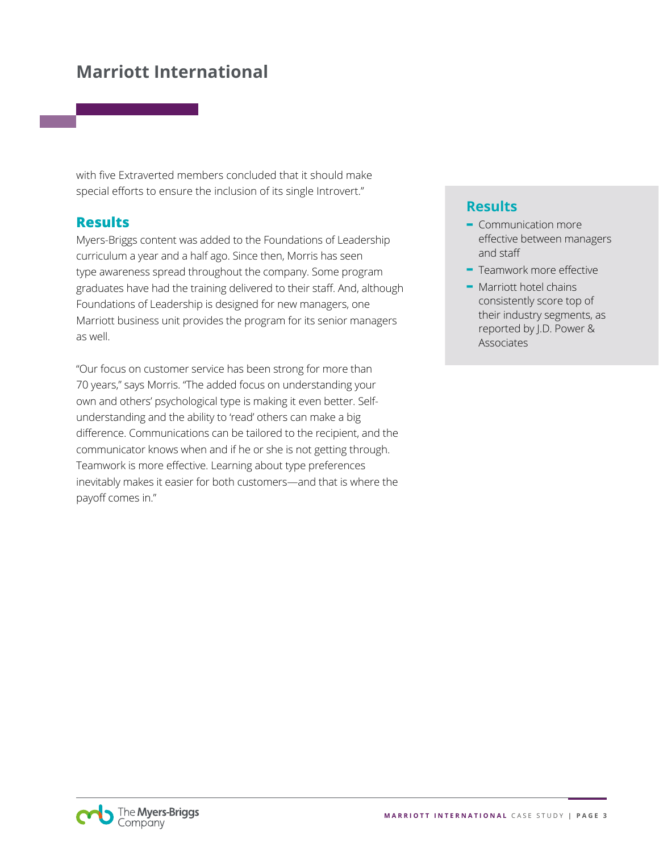## **Marriott International**

with five Extraverted members concluded that it should make special efforts to ensure the inclusion of its single Introvert."

#### **Results**

Myers-Briggs content was added to the Foundations of Leadership curriculum a year and a half ago. Since then, Morris has seen type awareness spread throughout the company. Some program graduates have had the training delivered to their staff. And, although Foundations of Leadership is designed for new managers, one Marriott business unit provides the program for its senior managers as well.

"Our focus on customer service has been strong for more than 70 years," says Morris. "The added focus on understanding your own and others' psychological type is making it even better. Selfunderstanding and the ability to 'read' others can make a big difference. Communications can be tailored to the recipient, and the communicator knows when and if he or she is not getting through. Teamwork is more effective. Learning about type preferences inevitably makes it easier for both customers—and that is where the payoff comes in."

### **Results**

- **-** Communication more effective between managers and staff
- **-** Teamwork more effective
- **-** Marriott hotel chains consistently score top of their industry segments, as reported by J.D. Power & Associates